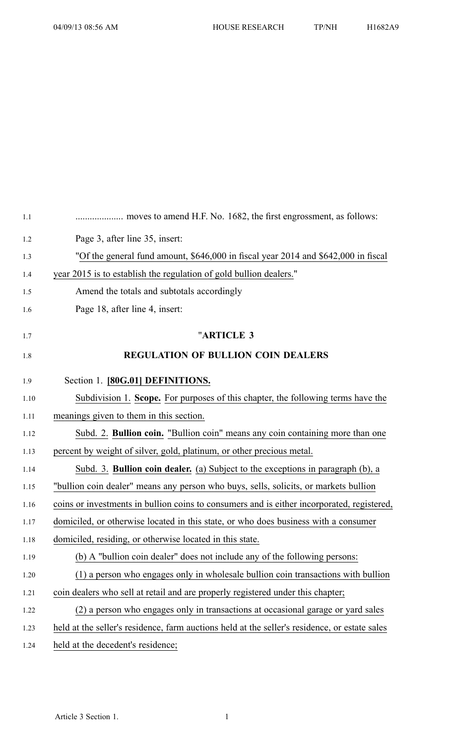| 1.1  |                                                                                               |
|------|-----------------------------------------------------------------------------------------------|
| 1.2  | Page 3, after line 35, insert:                                                                |
| 1.3  | "Of the general fund amount, \$646,000 in fiscal year 2014 and \$642,000 in fiscal            |
| 1.4  | year 2015 is to establish the regulation of gold bullion dealers."                            |
| 1.5  | Amend the totals and subtotals accordingly                                                    |
| 1.6  | Page 18, after line 4, insert:                                                                |
| 1.7  | "ARTICLE 3                                                                                    |
| 1.8  | <b>REGULATION OF BULLION COIN DEALERS</b>                                                     |
| 1.9  | Section 1. [80G.01] DEFINITIONS.                                                              |
| 1.10 | Subdivision 1. Scope. For purposes of this chapter, the following terms have the              |
| 1.11 | meanings given to them in this section.                                                       |
| 1.12 | Subd. 2. Bullion coin. "Bullion coin" means any coin containing more than one                 |
| 1.13 | percent by weight of silver, gold, platinum, or other precious metal.                         |
| 1.14 | Subd. 3. <b>Bullion coin dealer.</b> (a) Subject to the exceptions in paragraph (b), a        |
| 1.15 | "bullion coin dealer" means any person who buys, sells, solicits, or markets bullion          |
| 1.16 | coins or investments in bullion coins to consumers and is either incorporated, registered,    |
| 1.17 | domiciled, or otherwise located in this state, or who does business with a consumer           |
| 1.18 | domiciled, residing, or otherwise located in this state.                                      |
| 1.19 | (b) A "bullion coin dealer" does not include any of the following persons:                    |
| 1.20 | (1) a person who engages only in wholesale bullion coin transactions with bullion             |
| 1.21 | coin dealers who sell at retail and are properly registered under this chapter;               |
| 1.22 | (2) a person who engages only in transactions at occasional garage or yard sales              |
| 1.23 | held at the seller's residence, farm auctions held at the seller's residence, or estate sales |
| 1.24 | held at the decedent's residence;                                                             |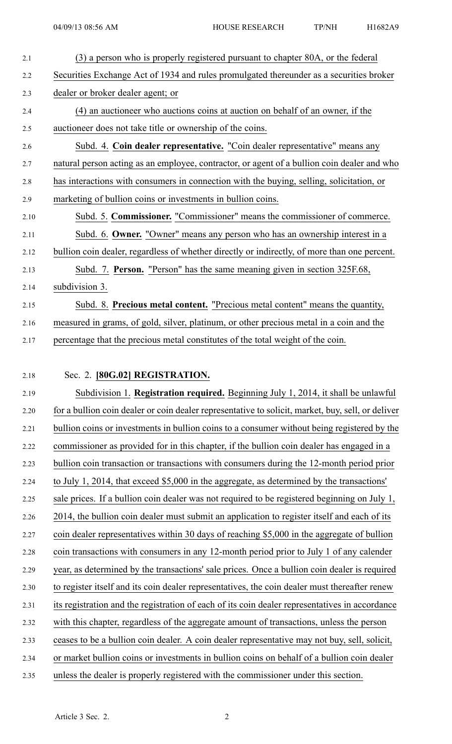- 2.1 (3) <sup>a</sup> person who is properly registered pursuan<sup>t</sup> to chapter 80A, or the federal 2.2 Securities Exchange Act of 1934 and rules promulgated thereunder as <sup>a</sup> securities broker 2.3 dealer or broker dealer agent; or 2.4 (4) an auctioneer who auctions coins at auction on behalf of an owner, if the 2.5 auctioneer does not take title or ownership of the coins. 2.6 Subd. 4. **Coin dealer representative.** "Coin dealer representative" means any 2.7 natural person acting as an employee, contractor, or agen<sup>t</sup> of <sup>a</sup> bullion coin dealer and who 2.8 has interactions with consumers in connection with the buying, selling, solicitation, or 2.9 marketing of bullion coins or investments in bullion coins. 2.10 Subd. 5. **Commissioner.** "Commissioner" means the commissioner of commerce. 2.11 Subd. 6. **Owner.** "Owner" means any person who has an ownership interest in <sup>a</sup> 2.12 bullion coin dealer, regardless of whether directly or indirectly, of more than one percent. 2.13 Subd. 7. **Person.** "Person" has the same meaning given in section 325F.68, 2.14 subdivision 3. 2.15 Subd. 8. **Precious metal content.** "Precious metal content" means the quantity, 2.16 measured in grams, of gold, silver, platinum, or other precious metal in <sup>a</sup> coin and the 2.17 percentage that the precious metal constitutes of the total weight of the coin.
- 

## 2.18 Sec. 2. **[80G.02] REGISTRATION.**

2.19 Subdivision 1. **Registration required.** Beginning July 1, 2014, it shall be unlawful 2.20 for <sup>a</sup> bullion coin dealer or coin dealer representative to solicit, market, buy, sell, or deliver 2.21 bullion coins or investments in bullion coins to <sup>a</sup> consumer without being registered by the 2.22 commissioner as provided for in this chapter, if the bullion coin dealer has engaged in <sup>a</sup> 2.23 bullion coin transaction or transactions with consumers during the 12-month period prior 2.24 to July 1, 2014, that exceed \$5,000 in the aggregate, as determined by the transactions' 2.25 sale prices. If <sup>a</sup> bullion coin dealer was not required to be registered beginning on July 1, 2.26 2014, the bullion coin dealer must submit an application to register itself and each of its 2.27 coin dealer representatives within 30 days of reaching \$5,000 in the aggregate of bullion 2.28 coin transactions with consumers in any 12-month period prior to July 1 of any calender 2.29 year, as determined by the transactions' sale prices. Once <sup>a</sup> bullion coin dealer is required 2.30 to register itself and its coin dealer representatives, the coin dealer must thereafter renew 2.31 its registration and the registration of each of its coin dealer representatives in accordance 2.32 with this chapter, regardless of the aggregate amount of transactions, unless the person 2.33 ceases to be <sup>a</sup> bullion coin dealer. A coin dealer representative may not buy, sell, solicit, 2.34 or market bullion coins or investments in bullion coins on behalf of <sup>a</sup> bullion coin dealer 2.35 unless the dealer is properly registered with the commissioner under this section.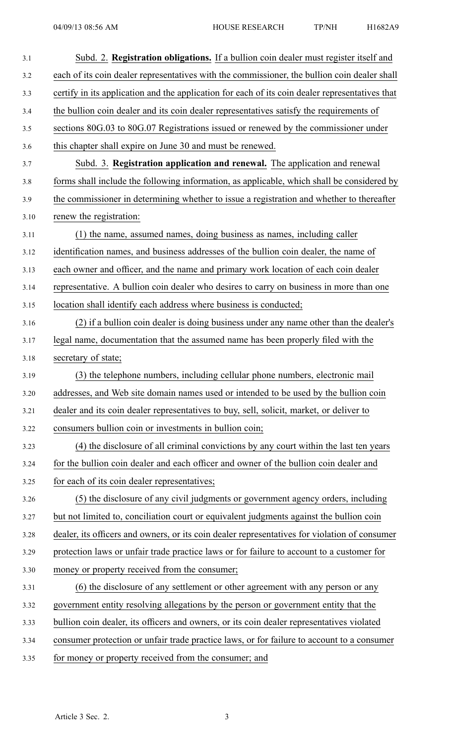| 3.1   | Subd. 2. Registration obligations. If a bullion coin dealer must register itself and            |
|-------|-------------------------------------------------------------------------------------------------|
| $3.2$ | each of its coin dealer representatives with the commissioner, the bullion coin dealer shall    |
| 3.3   | certify in its application and the application for each of its coin dealer representatives that |
| 3.4   | the bullion coin dealer and its coin dealer representatives satisfy the requirements of         |
| 3.5   | sections 80G.03 to 80G.07 Registrations issued or renewed by the commissioner under             |
| 3.6   | this chapter shall expire on June 30 and must be renewed.                                       |
| 3.7   | Subd. 3. Registration application and renewal. The application and renewal                      |
| 3.8   | forms shall include the following information, as applicable, which shall be considered by      |
| 3.9   | the commissioner in determining whether to issue a registration and whether to thereafter       |
| 3.10  | renew the registration:                                                                         |
| 3.11  | (1) the name, assumed names, doing business as names, including caller                          |
| 3.12  | identification names, and business addresses of the bullion coin dealer, the name of            |
| 3.13  | each owner and officer, and the name and primary work location of each coin dealer              |
| 3.14  | representative. A bullion coin dealer who desires to carry on business in more than one         |
| 3.15  | location shall identify each address where business is conducted;                               |
| 3.16  | (2) if a bullion coin dealer is doing business under any name other than the dealer's           |
| 3.17  | legal name, documentation that the assumed name has been properly filed with the                |
| 3.18  | secretary of state;                                                                             |
| 3.19  | (3) the telephone numbers, including cellular phone numbers, electronic mail                    |
| 3.20  | addresses, and Web site domain names used or intended to be used by the bullion coin            |
| 3.21  | dealer and its coin dealer representatives to buy, sell, solicit, market, or deliver to         |
| 3.22  | consumers bullion coin or investments in bullion coin;                                          |
| 3.23  | (4) the disclosure of all criminal convictions by any court within the last ten years           |
| 3.24  | for the bullion coin dealer and each officer and owner of the bullion coin dealer and           |
| 3.25  | for each of its coin dealer representatives;                                                    |
| 3.26  | (5) the disclosure of any civil judgments or government agency orders, including                |
| 3.27  | but not limited to, conciliation court or equivalent judgments against the bullion coin         |
| 3.28  | dealer, its officers and owners, or its coin dealer representatives for violation of consumer   |
| 3.29  | protection laws or unfair trade practice laws or for failure to account to a customer for       |
| 3.30  | money or property received from the consumer;                                                   |
| 3.31  | (6) the disclosure of any settlement or other agreement with any person or any                  |
| 3.32  | government entity resolving allegations by the person or government entity that the             |
| 3.33  | bullion coin dealer, its officers and owners, or its coin dealer representatives violated       |
| 3.34  | consumer protection or unfair trade practice laws, or for failure to account to a consumer      |
| 3.35  | for money or property received from the consumer; and                                           |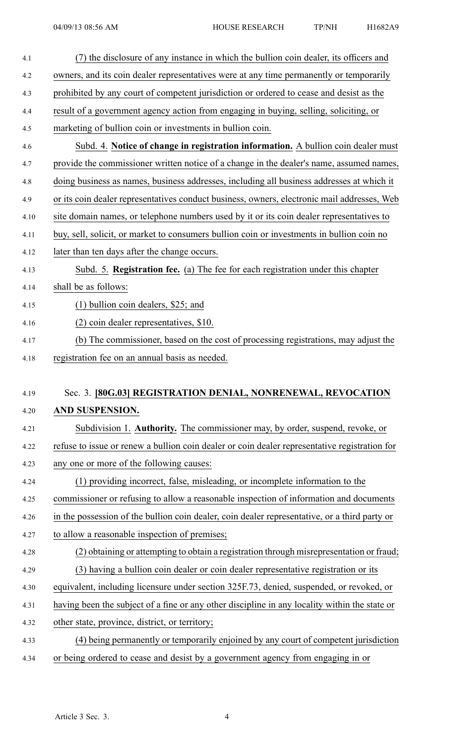| 4.1  | (7) the disclosure of any instance in which the bullion coin dealer, its officers and         |
|------|-----------------------------------------------------------------------------------------------|
| 4.2  | owners, and its coin dealer representatives were at any time permanently or temporarily       |
| 4.3  | prohibited by any court of competent jurisdiction or ordered to cease and desist as the       |
| 4.4  | result of a government agency action from engaging in buying, selling, soliciting, or         |
| 4.5  | marketing of bullion coin or investments in bullion coin.                                     |
| 4.6  | Subd. 4. Notice of change in registration information. A bullion coin dealer must             |
| 4.7  | provide the commissioner written notice of a change in the dealer's name, assumed names,      |
| 4.8  | doing business as names, business addresses, including all business addresses at which it     |
| 4.9  | or its coin dealer representatives conduct business, owners, electronic mail addresses, Web   |
| 4.10 | site domain names, or telephone numbers used by it or its coin dealer representatives to      |
| 4.11 | buy, sell, solicit, or market to consumers bullion coin or investments in bullion coin no     |
| 4.12 | later than ten days after the change occurs.                                                  |
| 4.13 | Subd. 5. Registration fee. (a) The fee for each registration under this chapter               |
| 4.14 | shall be as follows:                                                                          |
| 4.15 | $(1)$ bullion coin dealers, \$25; and                                                         |
| 4.16 | (2) coin dealer representatives, \$10.                                                        |
| 4.17 | (b) The commissioner, based on the cost of processing registrations, may adjust the           |
| 4.18 | registration fee on an annual basis as needed.                                                |
|      |                                                                                               |
| 4.19 | Sec. 3. [80G.03] REGISTRATION DENIAL, NONRENEWAL, REVOCATION                                  |
| 4.20 | AND SUSPENSION.                                                                               |
| 4.21 | Subdivision 1. Authority. The commissioner may, by order, suspend, revoke, or                 |
| 4.22 | refuse to issue or renew a bullion coin dealer or coin dealer representative registration for |
| 4.23 | any one or more of the following causes:                                                      |
| 4.24 | (1) providing incorrect, false, misleading, or incomplete information to the                  |
| 4.25 | commissioner or refusing to allow a reasonable inspection of information and documents        |
| 4.26 | in the possession of the bullion coin dealer, coin dealer representative, or a third party or |
| 4.27 | to allow a reasonable inspection of premises;                                                 |
| 4.28 | (2) obtaining or attempting to obtain a registration through misrepresentation or fraud;      |
| 4.29 | (3) having a bullion coin dealer or coin dealer representative registration or its            |
| 4.30 | equivalent, including licensure under section 325F.73, denied, suspended, or revoked, or      |
| 4.31 | having been the subject of a fine or any other discipline in any locality within the state or |
| 4.32 | other state, province, district, or territory;                                                |
| 4.33 | (4) being permanently or temporarily enjoined by any court of competent jurisdiction          |
| 4.34 | or being ordered to cease and desist by a government agency from engaging in or               |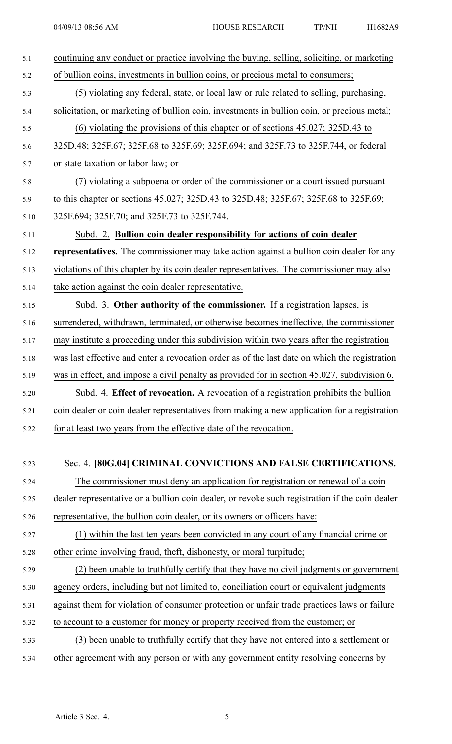| 5.1  | continuing any conduct or practice involving the buying, selling, soliciting, or marketing     |
|------|------------------------------------------------------------------------------------------------|
| 5.2  | of bullion coins, investments in bullion coins, or precious metal to consumers;                |
| 5.3  | (5) violating any federal, state, or local law or rule related to selling, purchasing,         |
| 5.4  | solicitation, or marketing of bullion coin, investments in bullion coin, or precious metal;    |
| 5.5  | $(6)$ violating the provisions of this chapter or of sections 45.027; 325D.43 to               |
| 5.6  | 325D.48; 325F.67; 325F.68 to 325F.69; 325F.694; and 325F.73 to 325F.744, or federal            |
| 5.7  | or state taxation or labor law; or                                                             |
| 5.8  | (7) violating a subpoena or order of the commissioner or a court issued pursuant               |
| 5.9  | to this chapter or sections 45.027; 325D.43 to 325D.48; 325F.67; 325F.68 to 325F.69;           |
| 5.10 | 325F.694; 325F.70; and 325F.73 to 325F.744.                                                    |
| 5.11 | Subd. 2. Bullion coin dealer responsibility for actions of coin dealer                         |
| 5.12 | representatives. The commissioner may take action against a bullion coin dealer for any        |
| 5.13 | violations of this chapter by its coin dealer representatives. The commissioner may also       |
| 5.14 | take action against the coin dealer representative.                                            |
| 5.15 | Subd. 3. Other authority of the commissioner. If a registration lapses, is                     |
| 5.16 | surrendered, withdrawn, terminated, or otherwise becomes ineffective, the commissioner         |
| 5.17 | may institute a proceeding under this subdivision within two years after the registration      |
| 5.18 | was last effective and enter a revocation order as of the last date on which the registration  |
| 5.19 | was in effect, and impose a civil penalty as provided for in section 45.027, subdivision 6.    |
| 5.20 | Subd. 4. Effect of revocation. A revocation of a registration prohibits the bullion            |
| 5.21 | coin dealer or coin dealer representatives from making a new application for a registration    |
| 5.22 | for at least two years from the effective date of the revocation.                              |
|      |                                                                                                |
| 5.23 | Sec. 4. [80G.04] CRIMINAL CONVICTIONS AND FALSE CERTIFICATIONS.                                |
| 5.24 | The commissioner must deny an application for registration or renewal of a coin                |
| 5.25 | dealer representative or a bullion coin dealer, or revoke such registration if the coin dealer |
| 5.26 | representative, the bullion coin dealer, or its owners or officers have:                       |
| 5.27 | (1) within the last ten years been convicted in any court of any financial crime or            |
| 5.28 | other crime involving fraud, theft, dishonesty, or moral turpitude;                            |
| 5.29 | (2) been unable to truthfully certify that they have no civil judgments or government          |
| 5.30 | agency orders, including but not limited to, conciliation court or equivalent judgments        |
| 5.31 | against them for violation of consumer protection or unfair trade practices laws or failure    |
| 5.32 | to account to a customer for money or property received from the customer; or                  |
| 5.33 | (3) been unable to truthfully certify that they have not entered into a settlement or          |
| 5.34 | other agreement with any person or with any government entity resolving concerns by            |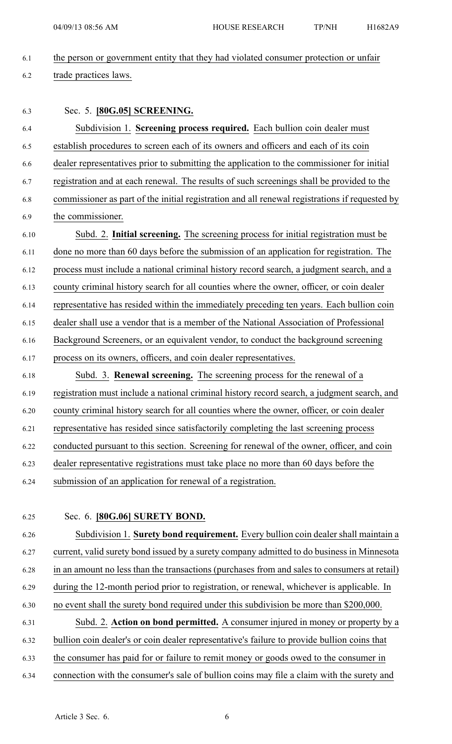6.1 the person or governmen<sup>t</sup> entity that they had violated consumer protection or unfair

6.2 trade practices laws.

6.3 Sec. 5. **[80G.05] SCREENING.**

6.4 Subdivision 1. **Screening process required.** Each bullion coin dealer must 6.5 establish procedures to screen each of its owners and officers and each of its coin 6.6 dealer representatives prior to submitting the application to the commissioner for initial 6.7 registration and at each renewal. The results of such screenings shall be provided to the 6.8 commissioner as par<sup>t</sup> of the initial registration and all renewal registrations if requested by 6.9 the commissioner. 6.10 Subd. 2. **Initial screening.** The screening process for initial registration must be 6.11 done no more than 60 days before the submission of an application for registration. The 6.12 process must include <sup>a</sup> national criminal history record search, <sup>a</sup> judgment search, and <sup>a</sup> 6.13 county criminal history search for all counties where the owner, officer, or coin dealer 6.14 representative has resided within the immediately preceding ten years. Each bullion coin 6.15 dealer shall use <sup>a</sup> vendor that is <sup>a</sup> member of the National Association of Professional 6.16 Background Screeners, or an equivalent vendor, to conduct the background screening 6.17 process on its owners, officers, and coin dealer representatives. 6.18 Subd. 3. **Renewal screening.** The screening process for the renewal of <sup>a</sup>

6.19 registration must include <sup>a</sup> national criminal history record search, <sup>a</sup> judgment search, and 6.20 county criminal history search for all counties where the owner, officer, or coin dealer 6.21 representative has resided since satisfactorily completing the last screening process 6.22 conducted pursuan<sup>t</sup> to this section. Screening for renewal of the owner, officer, and coin 6.23 dealer representative registrations must take place no more than 60 days before the 6.24 submission of an application for renewal of <sup>a</sup> registration.

## 6.25 Sec. 6. **[80G.06] SURETY BOND.**

6.26 Subdivision 1. **Surety bond requirement.** Every bullion coin dealer shall maintain <sup>a</sup> 6.27 current, valid surety bond issued by <sup>a</sup> surety company admitted to do business in Minnesota 6.28 in an amount no less than the transactions (purchases from and sales to consumers at retail) 6.29 during the 12-month period prior to registration, or renewal, whichever is applicable. In 6.30 no event shall the surety bond required under this subdivision be more than \$200,000. 6.31 Subd. 2. **Action on bond permitted.** A consumer injured in money or property by <sup>a</sup>

- 6.32 bullion coin dealer's or coin dealer representative's failure to provide bullion coins that
- 6.33 the consumer has paid for or failure to remit money or goods owed to the consumer in
- 6.34 connection with the consumer's sale of bullion coins may file <sup>a</sup> claim with the surety and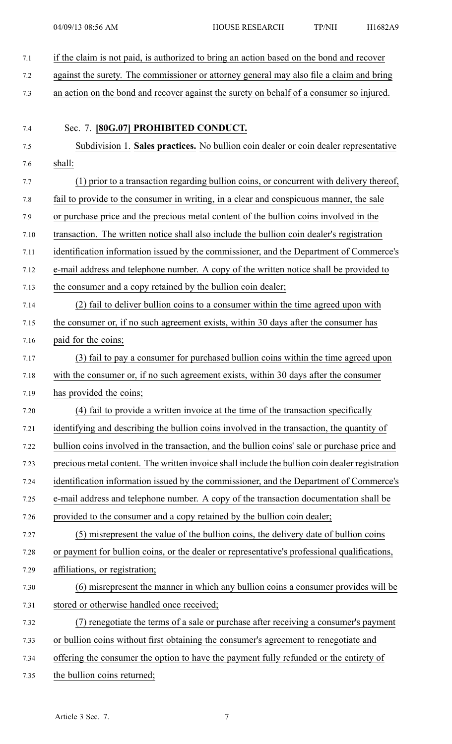- 7.1 if the claim is not paid, is authorized to bring an action based on the bond and recover
- 7.2 against the surety. The commissioner or attorney general may also file <sup>a</sup> claim and bring
- 7.3 an action on the bond and recover against the surety on behalf of <sup>a</sup> consumer so injured.
- 7.4 Sec. 7. **[80G.07] PROHIBITED CONDUCT.** 7.5 Subdivision 1. **Sales practices.** No bullion coin dealer or coin dealer representative 7.6 shall: 7.7 (1) prior to <sup>a</sup> transaction regarding bullion coins, or concurrent with delivery thereof, 7.8 fail to provide to the consumer in writing, in <sup>a</sup> clear and conspicuous manner, the sale 7.9 or purchase price and the precious metal content of the bullion coins involved in the 7.10 transaction. The written notice shall also include the bullion coin dealer's registration 7.11 identification information issued by the commissioner, and the Department of Commerce's 7.12 e-mail address and telephone number. A copy of the written notice shall be provided to 7.13 the consumer and <sup>a</sup> copy retained by the bullion coin dealer; 7.14 (2) fail to deliver bullion coins to <sup>a</sup> consumer within the time agreed upon with 7.15 the consumer or, if no such agreemen<sup>t</sup> exists, within 30 days after the consumer has 7.16 paid for the coins; 7.17 (3) fail to pay <sup>a</sup> consumer for purchased bullion coins within the time agreed upon 7.18 with the consumer or, if no such agreemen<sup>t</sup> exists, within 30 days after the consumer 7.19 has provided the coins; 7.20 (4) fail to provide <sup>a</sup> written invoice at the time of the transaction specifically 7.21 identifying and describing the bullion coins involved in the transaction, the quantity of 7.22 bullion coins involved in the transaction, and the bullion coins' sale or purchase price and 7.23 precious metal content. The written invoice shall include the bullion coin dealer registration 7.24 identification information issued by the commissioner, and the Department of Commerce's 7.25 e-mail address and telephone number. A copy of the transaction documentation shall be 7.26 provided to the consumer and <sup>a</sup> copy retained by the bullion coin dealer; 7.27 (5) misrepresent the value of the bullion coins, the delivery date of bullion coins 7.28 or paymen<sup>t</sup> for bullion coins, or the dealer or representative's professional qualifications, 7.29 affiliations, or registration; 7.30 (6) misrepresent the manner in which any bullion coins <sup>a</sup> consumer provides will be 7.31 stored or otherwise handled once received; 7.32 (7) renegotiate the terms of <sup>a</sup> sale or purchase after receiving <sup>a</sup> consumer's paymen<sup>t</sup> 7.33 or bullion coins without first obtaining the consumer's agreemen<sup>t</sup> to renegotiate and 7.34 offering the consumer the option to have the paymen<sup>t</sup> fully refunded or the entirety of 7.35 the bullion coins returned;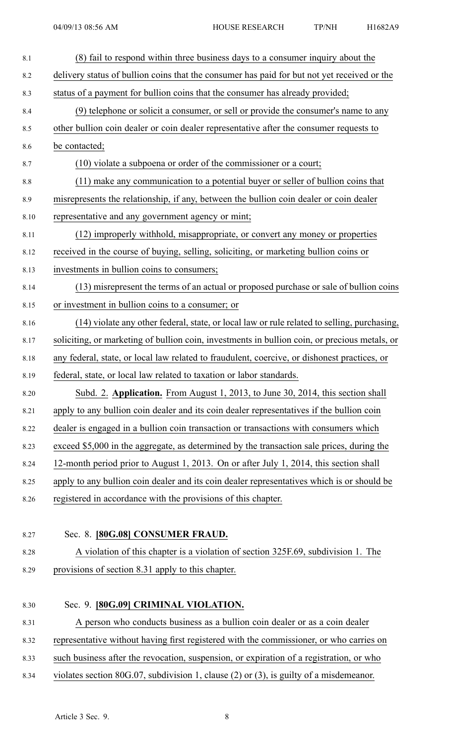| 8.1     | (8) fail to respond within three business days to a consumer inquiry about the                |
|---------|-----------------------------------------------------------------------------------------------|
| 8.2     | delivery status of bullion coins that the consumer has paid for but not yet received or the   |
| 8.3     | status of a payment for bullion coins that the consumer has already provided;                 |
| 8.4     | (9) telephone or solicit a consumer, or sell or provide the consumer's name to any            |
| 8.5     | other bullion coin dealer or coin dealer representative after the consumer requests to        |
| 8.6     | be contacted;                                                                                 |
| 8.7     | (10) violate a subpoena or order of the commissioner or a court;                              |
| $8.8\,$ | (11) make any communication to a potential buyer or seller of bullion coins that              |
| 8.9     | misrepresents the relationship, if any, between the bullion coin dealer or coin dealer        |
| 8.10    | representative and any government agency or mint;                                             |
| 8.11    | (12) improperly withhold, misappropriate, or convert any money or properties                  |
| 8.12    | received in the course of buying, selling, soliciting, or marketing bullion coins or          |
| 8.13    | investments in bullion coins to consumers;                                                    |
| 8.14    | (13) misrepresent the terms of an actual or proposed purchase or sale of bullion coins        |
| 8.15    | or investment in bullion coins to a consumer; or                                              |
| 8.16    | (14) violate any other federal, state, or local law or rule related to selling, purchasing,   |
| 8.17    | soliciting, or marketing of bullion coin, investments in bullion coin, or precious metals, or |
| 8.18    | any federal, state, or local law related to fraudulent, coercive, or dishonest practices, or  |
| 8.19    | federal, state, or local law related to taxation or labor standards.                          |
| 8.20    | Subd. 2. Application. From August 1, 2013, to June 30, 2014, this section shall               |
| 8.21    | apply to any bullion coin dealer and its coin dealer representatives if the bullion coin      |
| 8.22    | dealer is engaged in a bullion coin transaction or transactions with consumers which          |
| 8.23    | exceed \$5,000 in the aggregate, as determined by the transaction sale prices, during the     |
| 8.24    | 12-month period prior to August 1, 2013. On or after July 1, 2014, this section shall         |
| 8.25    | apply to any bullion coin dealer and its coin dealer representatives which is or should be    |
| 8.26    | registered in accordance with the provisions of this chapter.                                 |
|         |                                                                                               |
| 8.27    | Sec. 8. [80G.08] CONSUMER FRAUD.                                                              |
| 8.28    | A violation of this chapter is a violation of section 325F.69, subdivision 1. The             |
| 8.29    | provisions of section 8.31 apply to this chapter.                                             |
|         |                                                                                               |
| 8.30    | Sec. 9. [80G.09] CRIMINAL VIOLATION.                                                          |
| 8.31    | A person who conducts business as a bullion coin dealer or as a coin dealer                   |
| 8.32    | representative without having first registered with the commissioner, or who carries on       |
| 8.33    | such business after the revocation, suspension, or expiration of a registration, or who       |
| 8.34    | violates section 80G.07, subdivision 1, clause $(2)$ or $(3)$ , is guilty of a misdemeanor.   |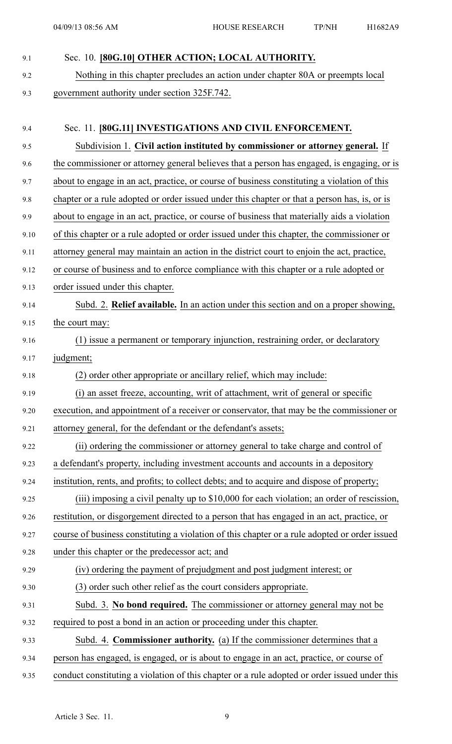## 9.1 Sec. 10. **[80G.10] OTHER ACTION; LOCAL AUTHORITY.**

9.2 Nothing in this chapter precludes an action under chapter 80A or preempts local 9.3 governmen<sup>t</sup> authority under section 325F.742.

| 9.4  | Sec. 11. [80G.11] INVESTIGATIONS AND CIVIL ENFORCEMENT.                                       |
|------|-----------------------------------------------------------------------------------------------|
| 9.5  | Subdivision 1. Civil action instituted by commissioner or attorney general. If                |
| 9.6  | the commissioner or attorney general believes that a person has engaged, is engaging, or is   |
| 9.7  | about to engage in an act, practice, or course of business constituting a violation of this   |
| 9.8  | chapter or a rule adopted or order issued under this chapter or that a person has, is, or is  |
| 9.9  | about to engage in an act, practice, or course of business that materially aids a violation   |
| 9.10 | of this chapter or a rule adopted or order issued under this chapter, the commissioner or     |
| 9.11 | attorney general may maintain an action in the district court to enjoin the act, practice,    |
| 9.12 | or course of business and to enforce compliance with this chapter or a rule adopted or        |
| 9.13 | order issued under this chapter.                                                              |
| 9.14 | Subd. 2. Relief available. In an action under this section and on a proper showing,           |
| 9.15 | the court may:                                                                                |
| 9.16 | (1) issue a permanent or temporary injunction, restraining order, or declaratory              |
| 9.17 | judgment;                                                                                     |
| 9.18 | (2) order other appropriate or ancillary relief, which may include:                           |
| 9.19 | (i) an asset freeze, accounting, writ of attachment, writ of general or specific              |
| 9.20 | execution, and appointment of a receiver or conservator, that may be the commissioner or      |
| 9.21 | attorney general, for the defendant or the defendant's assets;                                |
| 9.22 | (ii) ordering the commissioner or attorney general to take charge and control of              |
| 9.23 | a defendant's property, including investment accounts and accounts in a depository            |
| 9.24 | institution, rents, and profits; to collect debts; and to acquire and dispose of property;    |
| 9.25 | (iii) imposing a civil penalty up to \$10,000 for each violation; an order of rescission,     |
| 9.26 | restitution, or disgorgement directed to a person that has engaged in an act, practice, or    |
| 9.27 | course of business constituting a violation of this chapter or a rule adopted or order issued |
| 9.28 | under this chapter or the predecessor act; and                                                |
| 9.29 | (iv) ordering the payment of prejudgment and post judgment interest; or                       |
| 9.30 | (3) order such other relief as the court considers appropriate.                               |
| 9.31 | Subd. 3. No bond required. The commissioner or attorney general may not be                    |
| 9.32 | required to post a bond in an action or proceeding under this chapter.                        |
| 9.33 | Subd. 4. Commissioner authority. (a) If the commissioner determines that a                    |
| 9.34 | person has engaged, is engaged, or is about to engage in an act, practice, or course of       |
| 9.35 | conduct constituting a violation of this chapter or a rule adopted or order issued under this |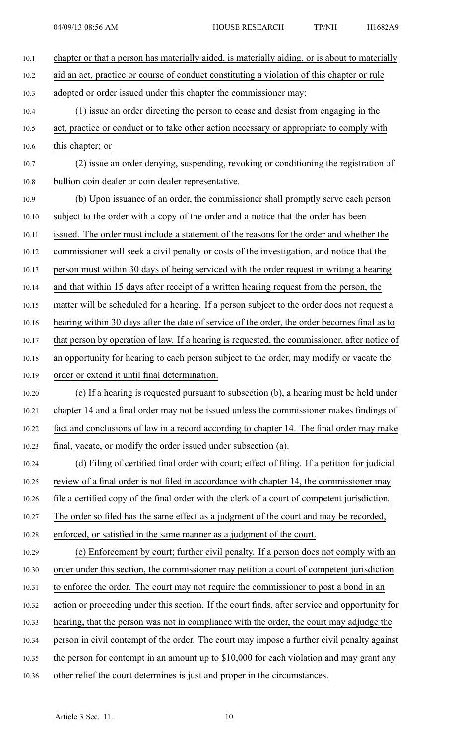| 10.1  | chapter or that a person has materially aided, is materially aiding, or is about to materially |
|-------|------------------------------------------------------------------------------------------------|
| 10.2  | aid an act, practice or course of conduct constituting a violation of this chapter or rule     |
| 10.3  | adopted or order issued under this chapter the commissioner may:                               |
| 10.4  | (1) issue an order directing the person to cease and desist from engaging in the               |
| 10.5  | act, practice or conduct or to take other action necessary or appropriate to comply with       |
| 10.6  | this chapter; or                                                                               |
| 10.7  | (2) issue an order denying, suspending, revoking or conditioning the registration of           |
| 10.8  | bullion coin dealer or coin dealer representative.                                             |
| 10.9  | (b) Upon issuance of an order, the commissioner shall promptly serve each person               |
| 10.10 | subject to the order with a copy of the order and a notice that the order has been             |
| 10.11 | issued. The order must include a statement of the reasons for the order and whether the        |
| 10.12 | commissioner will seek a civil penalty or costs of the investigation, and notice that the      |
| 10.13 | person must within 30 days of being serviced with the order request in writing a hearing       |
| 10.14 | and that within 15 days after receipt of a written hearing request from the person, the        |
| 10.15 | matter will be scheduled for a hearing. If a person subject to the order does not request a    |
| 10.16 | hearing within 30 days after the date of service of the order, the order becomes final as to   |
| 10.17 | that person by operation of law. If a hearing is requested, the commissioner, after notice of  |
| 10.18 | an opportunity for hearing to each person subject to the order, may modify or vacate the       |
| 10.19 | order or extend it until final determination.                                                  |
| 10.20 | (c) If a hearing is requested pursuant to subsection (b), a hearing must be held under         |
| 10.21 | chapter 14 and a final order may not be issued unless the commissioner makes findings of       |
| 10.22 | fact and conclusions of law in a record according to chapter 14. The final order may make      |
| 10.23 | final, vacate, or modify the order issued under subsection (a).                                |
| 10.24 | (d) Filing of certified final order with court; effect of filing. If a petition for judicial   |
| 10.25 | review of a final order is not filed in accordance with chapter 14, the commissioner may       |
| 10.26 | file a certified copy of the final order with the clerk of a court of competent jurisdiction.  |
| 10.27 | The order so filed has the same effect as a judgment of the court and may be recorded,         |
| 10.28 | enforced, or satisfied in the same manner as a judgment of the court.                          |
| 10.29 | (e) Enforcement by court; further civil penalty. If a person does not comply with an           |
| 10.30 | order under this section, the commissioner may petition a court of competent jurisdiction      |
| 10.31 | to enforce the order. The court may not require the commissioner to post a bond in an          |
| 10.32 | action or proceeding under this section. If the court finds, after service and opportunity for |
| 10.33 | hearing, that the person was not in compliance with the order, the court may adjudge the       |
| 10.34 | person in civil contempt of the order. The court may impose a further civil penalty against    |
| 10.35 | the person for contempt in an amount up to $$10,000$ for each violation and may grant any      |
| 10.36 | other relief the court determines is just and proper in the circumstances.                     |